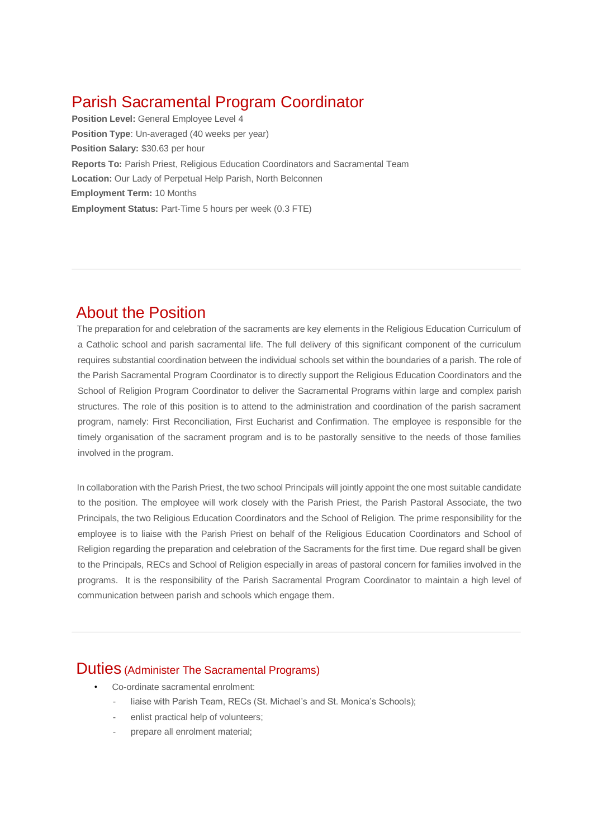# Parish Sacramental Program Coordinator

**Position Level:** General Employee Level 4 **Position Type**: Un-averaged (40 weeks per year) **Position Salary:** \$30.63 per hour **Reports To:** Parish Priest, Religious Education Coordinators and Sacramental Team **Location:** Our Lady of Perpetual Help Parish, North Belconnen **Employment Term:** 10 Months **Employment Status:** Part-Time 5 hours per week (0.3 FTE)

## About the Position

The preparation for and celebration of the sacraments are key elements in the Religious Education Curriculum of a Catholic school and parish sacramental life. The full delivery of this significant component of the curriculum requires substantial coordination between the individual schools set within the boundaries of a parish. The role of the Parish Sacramental Program Coordinator is to directly support the Religious Education Coordinators and the School of Religion Program Coordinator to deliver the Sacramental Programs within large and complex parish structures. The role of this position is to attend to the administration and coordination of the parish sacrament program, namely: First Reconciliation, First Eucharist and Confirmation. The employee is responsible for the timely organisation of the sacrament program and is to be pastorally sensitive to the needs of those families involved in the program.

In collaboration with the Parish Priest, the two school Principals will jointly appoint the one most suitable candidate to the position. The employee will work closely with the Parish Priest, the Parish Pastoral Associate, the two Principals, the two Religious Education Coordinators and the School of Religion. The prime responsibility for the employee is to liaise with the Parish Priest on behalf of the Religious Education Coordinators and School of Religion regarding the preparation and celebration of the Sacraments for the first time. Due regard shall be given to the Principals, RECs and School of Religion especially in areas of pastoral concern for families involved in the programs. It is the responsibility of the Parish Sacramental Program Coordinator to maintain a high level of communication between parish and schools which engage them.

## Duties (Administer The Sacramental Programs)

- Co-ordinate sacramental enrolment:
	- liaise with Parish Team, RECs (St. Michael's and St. Monica's Schools):
	- enlist practical help of volunteers:
	- prepare all enrolment material;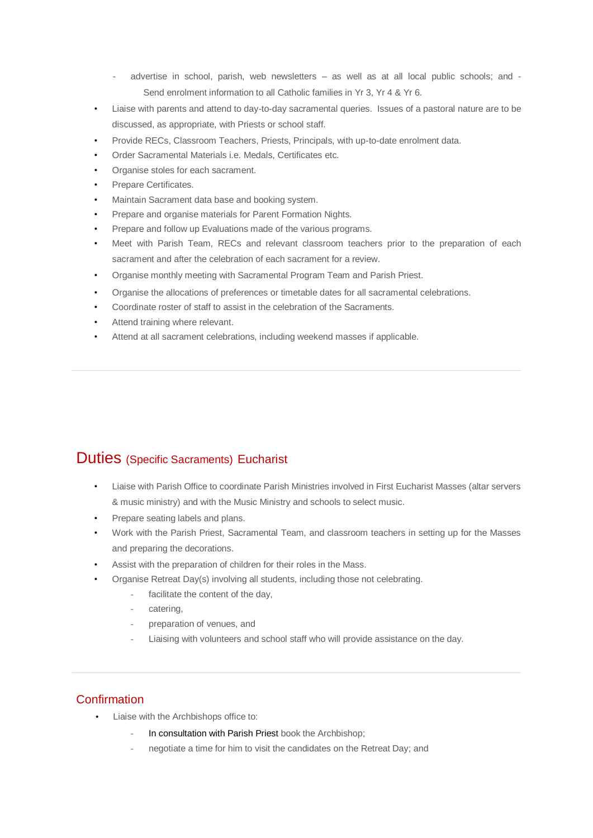- advertise in school, parish, web newsletters as well as at all local public schools; and -Send enrolment information to all Catholic families in Yr 3, Yr 4 & Yr 6.
- Liaise with parents and attend to day-to-day sacramental queries. Issues of a pastoral nature are to be discussed, as appropriate, with Priests or school staff.
- Provide RECs, Classroom Teachers, Priests, Principals, with up-to-date enrolment data.
- Order Sacramental Materials i.e. Medals, Certificates etc.
- Organise stoles for each sacrament.
- Prepare Certificates.
- Maintain Sacrament data base and booking system.
- Prepare and organise materials for Parent Formation Nights.
- Prepare and follow up Evaluations made of the various programs.
- Meet with Parish Team, RECs and relevant classroom teachers prior to the preparation of each sacrament and after the celebration of each sacrament for a review.
- Organise monthly meeting with Sacramental Program Team and Parish Priest.
- Organise the allocations of preferences or timetable dates for all sacramental celebrations.
- Coordinate roster of staff to assist in the celebration of the Sacraments.
- Attend training where relevant.
- Attend at all sacrament celebrations, including weekend masses if applicable.

## Duties (Specific Sacraments) Eucharist

- Liaise with Parish Office to coordinate Parish Ministries involved in First Eucharist Masses (altar servers & music ministry) and with the Music Ministry and schools to select music.
- Prepare seating labels and plans.
- Work with the Parish Priest, Sacramental Team, and classroom teachers in setting up for the Masses and preparing the decorations.
- Assist with the preparation of children for their roles in the Mass.
- Organise Retreat Day(s) involving all students, including those not celebrating.
	- facilitate the content of the day,
	- catering.
	- preparation of venues, and
	- Liaising with volunteers and school staff who will provide assistance on the day.

#### **Confirmation**

- Liaise with the Archbishops office to:
	- In consultation with Parish Priest book the Archbishop;
	- negotiate a time for him to visit the candidates on the Retreat Day; and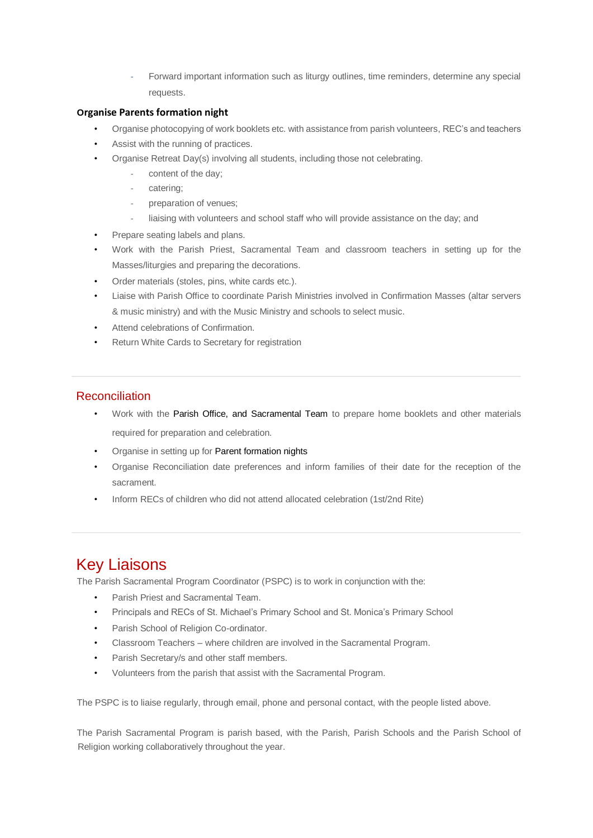Forward important information such as liturgy outlines, time reminders, determine any special requests.

#### **Organise Parents formation night**

- Organise photocopying of work booklets etc. with assistance from parish volunteers, REC's and teachers
- Assist with the running of practices.
- Organise Retreat Day(s) involving all students, including those not celebrating.
	- content of the day;
	- catering:
	- preparation of venues;
	- liaising with volunteers and school staff who will provide assistance on the day; and
- Prepare seating labels and plans.
- Work with the Parish Priest, Sacramental Team and classroom teachers in setting up for the Masses/liturgies and preparing the decorations.
- Order materials (stoles, pins, white cards etc.).
- Liaise with Parish Office to coordinate Parish Ministries involved in Confirmation Masses (altar servers & music ministry) and with the Music Ministry and schools to select music.
- Attend celebrations of Confirmation.
- Return White Cards to Secretary for registration

#### **Reconciliation**

- Work with the Parish Office, and Sacramental Team to prepare home booklets and other materials required for preparation and celebration.
- Organise in setting up for Parent formation nights
- Organise Reconciliation date preferences and inform families of their date for the reception of the sacrament.
- Inform RECs of children who did not attend allocated celebration (1st/2nd Rite)

# Key Liaisons

The Parish Sacramental Program Coordinator (PSPC) is to work in conjunction with the:

- Parish Priest and Sacramental Team.
- Principals and RECs of St. Michael's Primary School and St. Monica's Primary School
- Parish School of Religion Co-ordinator.
- Classroom Teachers where children are involved in the Sacramental Program.
- Parish Secretary/s and other staff members.
- Volunteers from the parish that assist with the Sacramental Program.

The PSPC is to liaise regularly, through email, phone and personal contact, with the people listed above.

The Parish Sacramental Program is parish based, with the Parish, Parish Schools and the Parish School of Religion working collaboratively throughout the year.